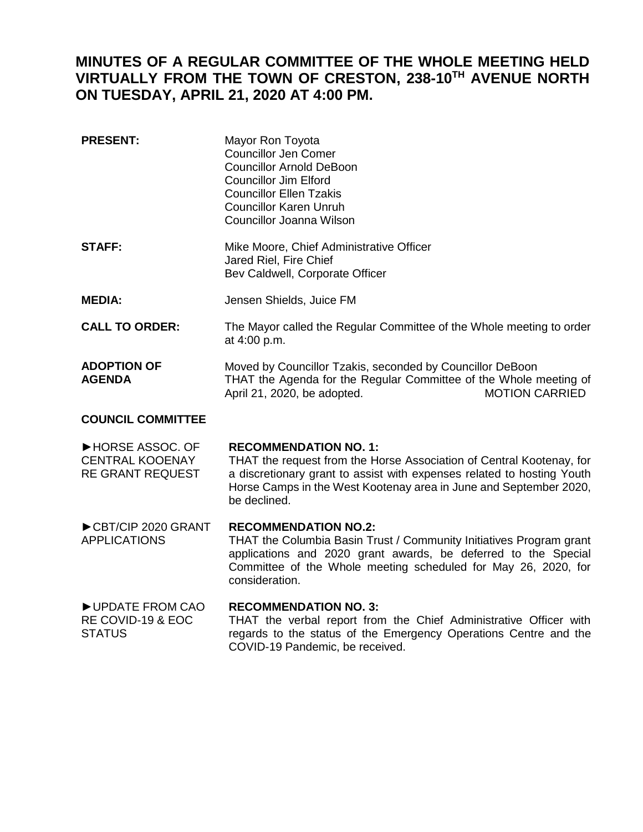## **MINUTES OF A REGULAR COMMITTEE OF THE WHOLE MEETING HELD VIRTUALLY FROM THE TOWN OF CRESTON, 238-10TH AVENUE NORTH ON TUESDAY, APRIL 21, 2020 AT 4:00 PM.**

| <b>PRESENT:</b>                                                      | Mayor Ron Toyota<br><b>Councillor Jen Comer</b><br><b>Councillor Arnold DeBoon</b><br><b>Councillor Jim Elford</b><br><b>Councillor Ellen Tzakis</b><br><b>Councillor Karen Unruh</b><br><b>Councillor Joanna Wilson</b>                                            |
|----------------------------------------------------------------------|---------------------------------------------------------------------------------------------------------------------------------------------------------------------------------------------------------------------------------------------------------------------|
| <b>STAFF:</b>                                                        | Mike Moore, Chief Administrative Officer<br>Jared Riel, Fire Chief<br>Bev Caldwell, Corporate Officer                                                                                                                                                               |
| <b>MEDIA:</b>                                                        | Jensen Shields, Juice FM                                                                                                                                                                                                                                            |
| <b>CALL TO ORDER:</b>                                                | The Mayor called the Regular Committee of the Whole meeting to order<br>at 4:00 p.m.                                                                                                                                                                                |
| <b>ADOPTION OF</b><br><b>AGENDA</b>                                  | Moved by Councillor Tzakis, seconded by Councillor DeBoon<br>THAT the Agenda for the Regular Committee of the Whole meeting of<br><b>MOTION CARRIED</b><br>April 21, 2020, be adopted.                                                                              |
| <b>COUNCIL COMMITTEE</b>                                             |                                                                                                                                                                                                                                                                     |
| HORSE ASSOC. OF<br><b>CENTRAL KOOENAY</b><br><b>RE GRANT REQUEST</b> | <b>RECOMMENDATION NO. 1:</b><br>THAT the request from the Horse Association of Central Kootenay, for<br>a discretionary grant to assist with expenses related to hosting Youth<br>Horse Camps in the West Kootenay area in June and September 2020,<br>be declined. |
| CBT/CIP 2020 GRANT<br><b>APPLICATIONS</b>                            | <b>RECOMMENDATION NO.2:</b><br>THAT the Columbia Basin Trust / Community Initiatives Program grant<br>applications and 2020 grant awards, be deferred to the Special<br>Committee of the Whole meeting scheduled for May 26, 2020, for<br>consideration.            |
| UPDATE FROM CAO<br>RE COVID-19 & EOC<br><b>STATUS</b>                | <b>RECOMMENDATION NO. 3:</b><br>THAT the verbal report from the Chief Administrative Officer with<br>regards to the status of the Emergency Operations Centre and the<br>COVID-19 Pandemic, be received.                                                            |